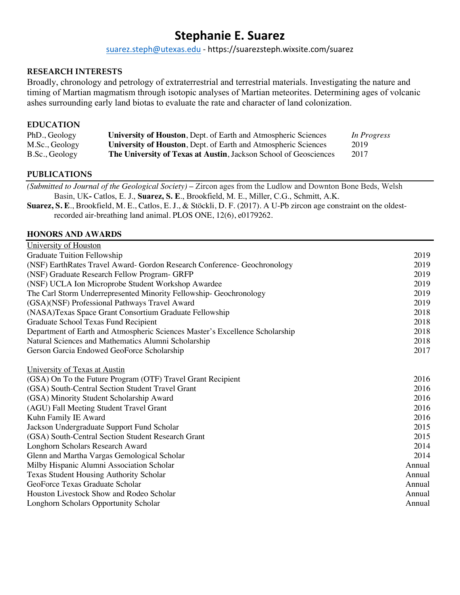# **Stephanie E. Suarez**

suarez.steph@utexas.edu - https://suarezsteph.wixsite.com/suarez

#### **RESEARCH INTERESTS**

Broadly, chronology and petrology of extraterrestrial and terrestrial materials. Investigating the nature and timing of Martian magmatism through isotopic analyses of Martian meteorites. Determining ages of volcanic ashes surrounding early land biotas to evaluate the rate and character of land colonization.

#### **EDUCATION**

| PhD., Geology  | University of Houston, Dept. of Earth and Atmospheric Sciences        | In Progress |
|----------------|-----------------------------------------------------------------------|-------------|
| M.Sc., Geology | <b>University of Houston, Dept. of Earth and Atmospheric Sciences</b> | 2019        |
| B.Sc., Geology | The University of Texas at Austin, Jackson School of Geosciences      | 2017        |

#### **PUBLICATIONS**

*(Submitted to Journal of the Geological Society)* **–** Zircon ages from the Ludlow and Downton Bone Beds, Welsh Basin, UK**-** Catlos, E. J., **Suarez, S. E**., Brookfield, M. E., Miller, C.G., Schmitt, A.K.

**Suarez, S. E**., Brookfield, M. E., Catlos, E. J., & Stöckli, D. F. (2017). A U-Pb zircon age constraint on the oldestrecorded air-breathing land animal. PLOS ONE, 12(6), e0179262.

#### **HONORS AND AWARDS**

| University of Houston                                                        |        |
|------------------------------------------------------------------------------|--------|
| Graduate Tuition Fellowship                                                  | 2019   |
| (NSF) EarthRates Travel Award- Gordon Research Conference- Geochronology     | 2019   |
| (NSF) Graduate Research Fellow Program- GRFP                                 | 2019   |
| (NSF) UCLA Ion Microprobe Student Workshop Awardee                           | 2019   |
| The Carl Storm Underrepresented Minority Fellowship- Geochronology           | 2019   |
| (GSA)(NSF) Professional Pathways Travel Award                                | 2019   |
| (NASA)Texas Space Grant Consortium Graduate Fellowship                       | 2018   |
| Graduate School Texas Fund Recipient                                         | 2018   |
| Department of Earth and Atmospheric Sciences Master's Excellence Scholarship | 2018   |
| Natural Sciences and Mathematics Alumni Scholarship                          | 2018   |
| Gerson Garcia Endowed GeoForce Scholarship                                   | 2017   |
| University of Texas at Austin                                                |        |
| (GSA) On To the Future Program (OTF) Travel Grant Recipient                  | 2016   |
| (GSA) South-Central Section Student Travel Grant                             | 2016   |
| (GSA) Minority Student Scholarship Award                                     | 2016   |
| (AGU) Fall Meeting Student Travel Grant                                      | 2016   |
| Kuhn Family IE Award                                                         | 2016   |
| Jackson Undergraduate Support Fund Scholar                                   | 2015   |
| (GSA) South-Central Section Student Research Grant                           | 2015   |
| Longhorn Scholars Research Award                                             | 2014   |
| Glenn and Martha Vargas Gemological Scholar                                  | 2014   |
| Milby Hispanic Alumni Association Scholar                                    | Annual |
| <b>Texas Student Housing Authority Scholar</b>                               | Annual |
| GeoForce Texas Graduate Scholar                                              | Annual |
| Houston Livestock Show and Rodeo Scholar                                     | Annual |
| Longhorn Scholars Opportunity Scholar                                        | Annual |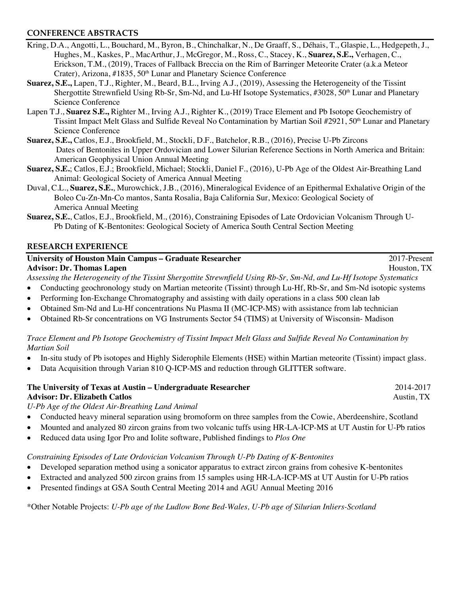## **CONFERENCE ABSTRACTS**

- Kring, D.A., Angotti, L., Bouchard, M., Byron, B., Chinchalkar, N., De Graaff, S., Déhais, T., Glaspie, L., Hedgepeth, J., Hughes, M., Kaskes, P., MacArthur, J., McGregor, M., Ross, C., Stacey, K., **Suarez, S.E.,** Verhagen, C., Erickson, T.M., (2019), Traces of Fallback Breccia on the Rim of Barringer Meteorite Crater (a.k.a Meteor Crater), Arizona, #1835, 50<sup>th</sup> Lunar and Planetary Science Conference
- **Suarez, S.E.,** Lapen, T.J., Righter, M., Beard, B.L., Irving A.J., (2019), Assessing the Heterogeneity of the Tissint Shergottite Strewnfield Using Rb-Sr, Sm-Nd, and Lu-Hf Isotope Systematics, #3028, 50<sup>th</sup> Lunar and Planetary Science Conference
- Lapen T.J., **Suarez S.E.,** Righter M., Irving A.J., Righter K., (2019) Trace Element and Pb Isotope Geochemistry of Tissint Impact Melt Glass and Sulfide Reveal No Contamination by Martian Soil #2921, 50<sup>th</sup> Lunar and Planetary Science Conference
- **Suarez, S.E.,** Catlos, E.J., Brookfield, M., Stockli, D.F., Batchelor, R.B., (2016), Precise U-Pb Zircons Dates of Bentonites in Upper Ordovician and Lower Silurian Reference Sections in North America and Britain: American Geophysical Union Annual Meeting
- **Suarez, S.E.**; Catlos, E.J.; Brookfield, Michael; Stockli, Daniel F., (2016), U-Pb Age of the Oldest Air-Breathing Land Animal: Geological Society of America Annual Meeting
- Duval, C.L., **Suarez, S.E.**, Murowchick, J.B., (2016), Mineralogical Evidence of an Epithermal Exhalative Origin of the Boleo Cu-Zn-Mn-Co mantos, Santa Rosalia, Baja California Sur, Mexico: Geological Society of America Annual Meeting
- **Suarez, S.E.**, Catlos, E.J., Brookfield, M., (2016), Constraining Episodes of Late Ordovician Volcanism Through U-Pb Dating of K-Bentonites: Geological Society of America South Central Section Meeting

#### **RESEARCH EXPERIENCE**

| University of Houston Main Campus – Graduate Researcher                                                              | 2017-Present |
|----------------------------------------------------------------------------------------------------------------------|--------------|
| <b>Advisor: Dr. Thomas Lapen</b>                                                                                     | Houston, TX  |
| Assessing the Heterogeneity of the Tissint Shergottite Strewnfield Using Rb-Sr, Sm-Nd, and Lu-Hf Isotope Systematics |              |
| • Conducting geochronology study on Martian meteorite (Tissint) through Lu-Hf, Rb-Sr, and Sm-Nd isotopic systems     |              |

- Performing Ion-Exchange Chromatography and assisting with daily operations in a class 500 clean lab
- Obtained Sm-Nd and Lu-Hf concentrations Nu Plasma II (MC-ICP-MS) with assistance from lab technician
- Obtained Rb-Sr concentrations on VG Instruments Sector 54 (TIMS) at University of Wisconsin- Madison

## *Trace Element and Pb Isotope Geochemistry of Tissint Impact Melt Glass and Sulfide Reveal No Contamination by Martian Soil*

- In-situ study of Pb isotopes and Highly Siderophile Elements (HSE) within Martian meteorite (Tissint) impact glass.
- Data Acquisition through Varian 810 O-ICP-MS and reduction through GLITTER software.

| The University of Texas at Austin – Undergraduate Researcher                | 2014-2017  |
|-----------------------------------------------------------------------------|------------|
| <b>Advisor: Dr. Elizabeth Catlos</b>                                        | Austin, TX |
| If D <sub>b</sub> <i>Ago</i> of the Oldest Air Drestling <i>Land Animal</i> |            |

*U-Pb Age of the Oldest Air-Breathing Land Animal*

- Conducted heavy mineral separation using bromoform on three samples from the Cowie, Aberdeenshire, Scotland
- Mounted and analyzed 80 zircon grains from two volcanic tuffs using HR-LA-ICP-MS at UT Austin for U-Pb ratios
- Reduced data using Igor Pro and Iolite software, Published findings to *Plos One*

## *Constraining Episodes of Late Ordovician Volcanism Through U-Pb Dating of K-Bentonites*

- Developed separation method using a sonicator apparatus to extract zircon grains from cohesive K-bentonites
- Extracted and analyzed 500 zircon grains from 15 samples using HR-LA-ICP-MS at UT Austin for U-Pb ratios
- Presented findings at GSA South Central Meeting 2014 and AGU Annual Meeting 2016

\*Other Notable Projects: *U-Pb age of the Ludlow Bone Bed-Wales, U-Pb age of Silurian Inliers-Scotland*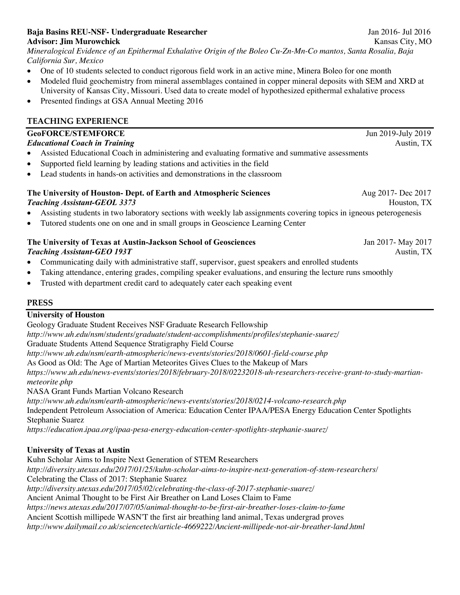### **Baja Basins REU-NSF- Undergraduate Researcher** Jan 2016- Jul 2016 **Advisor: Jim Murowchick** Kansas City, MO

*Mineralogical Evidence of an Epithermal Exhalative Origin of the Boleo Cu-Zn-Mn-Co mantos, Santa Rosalia, Baja California Sur, Mexico*

- One of 10 students selected to conduct rigorous field work in an active mine, Minera Boleo for one month
- Modeled fluid geochemistry from mineral assemblages contained in copper mineral deposits with SEM and XRD at University of Kansas City, Missouri. Used data to create model of hypothesized epithermal exhalative process
- Presented findings at GSA Annual Meeting 2016

# **TEACHING EXPERIENCE**

| <b>GeoFORCE/STEMFORCE</b>                                                                                          | Jun 2019-July 2019 |
|--------------------------------------------------------------------------------------------------------------------|--------------------|
| <b>Educational Coach in Training</b>                                                                               | Austin, TX         |
| Assisted Educational Coach in administering and evaluating formative and summative assessments                     |                    |
| Supported field learning by leading stations and activities in the field                                           |                    |
| Lead students in hands-on activities and demonstrations in the classroom                                           |                    |
| The University of Houston- Dept. of Earth and Atmospheric Sciences                                                 | Aug 2017- Dec 2017 |
| <b>Teaching Assistant-GEOL 3373</b>                                                                                | Houston, TX        |
| Assisting students in two laboratory sections with weekly lab assignments covering topics in igneous peterogenesis |                    |
| Tutored students one on one and in small groups in Geoscience Learning Center                                      |                    |
| The University of Texas at Austin-Jackson School of Geosciences                                                    | Jan 2017- May 2017 |
| <b>Teaching Assistant-GEO 193T</b>                                                                                 | Austin, TX         |
| Communicating daily with administrative staff, supervisor, guest speakers and enrolled students                    |                    |
| Taking attendance, entering grades, compiling speaker evaluations, and ensuring the lecture runs smoothly          |                    |
| Trusted with department credit card to adequately cater each speaking event                                        |                    |

## **PRESS**

# **University of Houston**

Geology Graduate Student Receives NSF Graduate Research Fellowship *http://www.uh.edu/nsm/students/graduate/student-accomplishments/profiles/stephanie-suarez/* Graduate Students Attend Sequence Stratigraphy Field Course *http://www.uh.edu/nsm/earth-atmospheric/news-events/stories/2018/0601-field-course.php* As Good as Old: The Age of Martian Meteorites Gives Clues to the Makeup of Mars *https://www.uh.edu/news-events/stories/2018/february-2018/02232018-uh-researchers-receive-grant-to-study-martianmeteorite.php* NASA Grant Funds Martian Volcano Research *http://www.uh.edu/nsm/earth-atmospheric/news-events/stories/2018/0214-volcano-research.php* Independent Petroleum Association of America: Education Center IPAA/PESA Energy Education Center Spotlights

Stephanie Suarez

*https://education.ipaa.org/ipaa-pesa-energy-education-center-spotlights-stephanie-suarez/*

# **University of Texas at Austin**

Kuhn Scholar Aims to Inspire Next Generation of STEM Researchers *http://diversity.utexas.edu/2017/01/25/kuhn-scholar-aims-to-inspire-next-generation-of-stem-researchers/* Celebrating the Class of 2017: Stephanie Suarez *http://diversity.utexas.edu/2017/05/02/celebrating-the-class-of-2017-stephanie-suarez/* Ancient Animal Thought to be First Air Breather on Land Loses Claim to Fame *https://news.utexas.edu/2017/07/05/animal-thought-to-be-first-air-breather-loses-claim-to-fame* Ancient Scottish millipede WASN'T the first air breathing land animal, Texas undergrad proves *http://www.dailymail.co.uk/sciencetech/article-4669222/Ancient-millipede-not-air-breather-land.html*